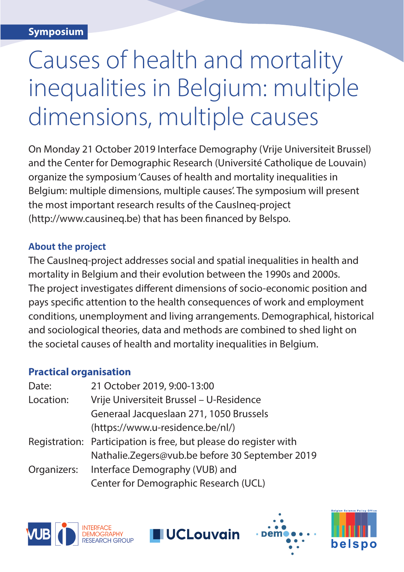## Causes of health and mortality inequalities in Belgium: multiple dimensions, multiple causes

On Monday 21 October 2019 Interface Demography (Vrije Universiteit Brussel) and the Center for Demographic Research (Université Catholique de Louvain) organize the symposium 'Causes of health and mortality inequalities in Belgium: multiple dimensions, multiple causes'. The symposium will present the most important research results of the CausIneq-project (http://www.causineq.be) that has been fnanced by Belspo.

## **About the project**

The CausIneq-project addresses social and spatial inequalities in health and mortality in Belgium and their evolution between the 1990s and 2000s. The project investigates diferent dimensions of socio-economic position and pays specifc attention to the health consequences of work and employment conditions, unemployment and living arrangements. Demographical, historical and sociological theories, data and methods are combined to shed light on the societal causes of health and mortality inequalities in Belgium.

## **Practical organisation**

| 21 October 2019, 9:00-13:00                                      |
|------------------------------------------------------------------|
| Vrije Universiteit Brussel - U-Residence                         |
| Generaal Jacqueslaan 271, 1050 Brussels                          |
| (https://www.u-residence.be/nl/)                                 |
| Registration: Participation is free, but please do register with |
| Nathalie.Zegers@vub.be before 30 September 2019                  |
| Organizers: Interface Demography (VUB) and                       |
| Center for Demographic Research (UCL)                            |
|                                                                  |

**UCLouvain**